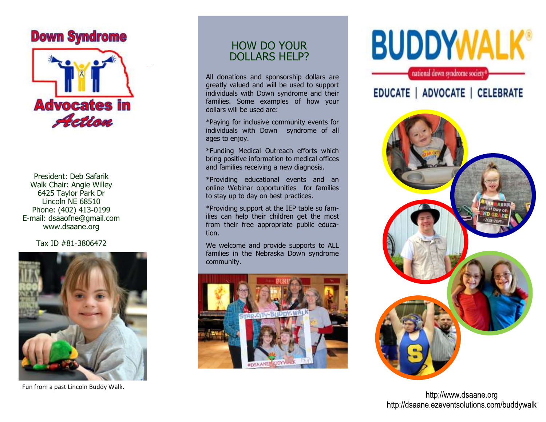### **Down Syndrome**



President: Deb Safarik Walk Chair: Angie Willey 6425 Taylor Park Dr Lincoln NE 68510 Phone: (402) 413-0199 E-mail: dsaaofne@gmail.com www.dsaane.org

Tax ID #81-3806472



Fun from a past Lincoln Buddy Walk.

### HOW DO YOUR DOLLARS HELP?

All donations and sponsorship dollars are greatly valued and will be used to support individuals with Down syndrome and their families. Some examples of how your dollars will be used are:

\*Paying for inclusive community events for individuals with Down syndrome of all ages to enjoy.

\*Funding Medical Outreach efforts which bring positive information to medical offices and families receiving a new diagnosis.

\*Providing educational events and an online Webinar opportunities for families to stay up to day on best practices.

\*Providing support at the IEP table so families can help their children get the most from their free appropriate public education.

We welcome and provide supports to ALL families in the Nebraska Down syndrome community.



# **BUDDYWALK®**

national down syndrome society

EDUCATE | ADVOCATE | CELEBRATE



http://www.dsaane.org http://dsaane.ezeventsolutions.com/buddywalk